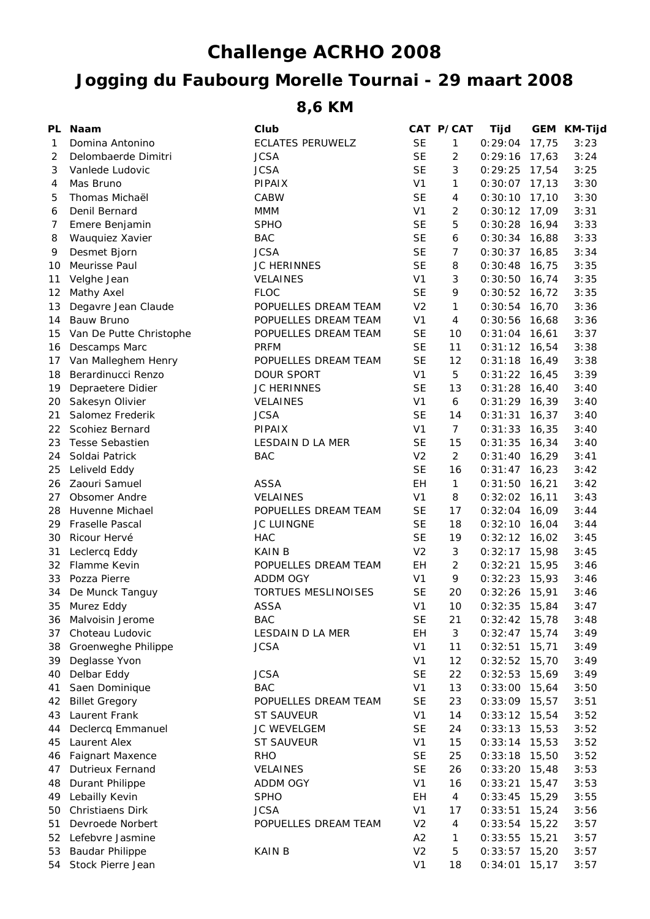## **Jogging du Faubourg Morelle Tournai - 29 maart 2008 Challenge ACRHO 2008**

**8,6 KM**

| PL | <b>Naam</b>             | Club                    |                | CAT P/CAT                | Tijd            |       | GEM KM-Tijd |
|----|-------------------------|-------------------------|----------------|--------------------------|-----------------|-------|-------------|
| 1  | Domina Antonino         | <b>ECLATES PERUWELZ</b> | <b>SE</b>      | $\mathbf{1}$             | 0:29:04         | 17,75 | 3:23        |
| 2  | Delombaerde Dimitri     | <b>JCSA</b>             | <b>SE</b>      | 2                        | 0:29:16         | 17,63 | 3:24        |
| 3  | Vanlede Ludovic         | <b>JCSA</b>             | <b>SE</b>      | $\mathfrak{Z}$           | $0:29:25$ 17,54 |       | 3:25        |
| 4  | Mas Bruno               | PIPAIX                  | V <sub>1</sub> | $\mathbf{1}$             | $0:30:07$ 17,13 |       | 3:30        |
| 5  | Thomas Michaël          | <b>CABW</b>             | <b>SE</b>      | 4                        | $0:30:10$ 17,10 |       | 3:30        |
| 6  | Denil Bernard           | <b>MMM</b>              | V <sub>1</sub> | $\overline{2}$           | $0:30:12$ 17,09 |       | 3:31        |
| 7  | Emere Benjamin          | <b>SPHO</b>             | <b>SE</b>      | 5                        | $0:30:28$ 16,94 |       | 3:33        |
| 8  | Wauquiez Xavier         | <b>BAC</b>              | <b>SE</b>      | 6                        | $0:30:34$ 16,88 |       | 3:33        |
| 9  | Desmet Bjorn            | <b>JCSA</b>             | <b>SE</b>      | $\overline{7}$           | $0:30:37$ 16,85 |       | 3:34        |
| 10 | Meurisse Paul           | <b>JC HERINNES</b>      | <b>SE</b>      | 8                        | 0:30:48         | 16,75 | 3:35        |
| 11 | Velghe Jean             | <b>VELAINES</b>         | V <sub>1</sub> | 3                        | $0:30:50$ 16,74 |       | 3:35        |
| 12 | Mathy Axel              | <b>FLOC</b>             | <b>SE</b>      | 9                        | $0:30:52$ 16,72 |       | 3:35        |
| 13 | Degavre Jean Claude     | POPUELLES DREAM TEAM    | V <sub>2</sub> | $\mathbf{1}$             | $0:30:54$ 16,70 |       | 3:36        |
| 14 | Bauw Bruno              | POPUELLES DREAM TEAM    | V <sub>1</sub> | $\overline{4}$           | 0:30:56         | 16,68 | 3:36        |
| 15 | Van De Putte Christophe | POPUELLES DREAM TEAM    | <b>SE</b>      | 10                       | $0:31:04$ 16,61 |       | 3:37        |
| 16 | Descamps Marc           | <b>PRFM</b>             | <b>SE</b>      | 11                       | $0:31:12$ 16,54 |       | 3:38        |
| 17 | Van Malleghem Henry     | POPUELLES DREAM TEAM    | <b>SE</b>      | 12                       | $0:31:18$ 16,49 |       | 3:38        |
| 18 | Berardinucci Renzo      | DOUR SPORT              | V <sub>1</sub> | 5                        | $0:31:22$ 16,45 |       | 3:39        |
| 19 | Depraetere Didier       | <b>JC HERINNES</b>      | <b>SE</b>      | 13                       | $0:31:28$ 16,40 |       | 3:40        |
| 20 | Sakesyn Olivier         | <b>VELAINES</b>         | V <sub>1</sub> | 6                        | $0:31:29$ 16,39 |       | 3:40        |
| 21 | Salomez Frederik        | <b>JCSA</b>             | <b>SE</b>      | 14                       | 0:31:31         | 16,37 | 3:40        |
| 22 | Scohiez Bernard         | PIPAIX                  | V <sub>1</sub> | $\overline{7}$           | $0:31:33$ 16,35 |       | 3:40        |
| 23 | <b>Tesse Sebastien</b>  | LESDAIN D LA MER        | <b>SE</b>      | 15                       | $0:31:35$ 16,34 |       | 3:40        |
| 24 | Soldai Patrick          | <b>BAC</b>              | V <sub>2</sub> | $\overline{2}$           | $0:31:40$ 16,29 |       | 3:41        |
| 25 | Leliveld Eddy           |                         | <b>SE</b>      | 16                       | $0:31:47$ 16,23 |       | 3:42        |
| 26 | Zaouri Samuel           | <b>ASSA</b>             | EH             | $\mathbf{1}$             | $0:31:50$ 16,21 |       | 3:42        |
| 27 | <b>Obsomer Andre</b>    | <b>VELAINES</b>         | V <sub>1</sub> | 8                        | $0:32:02$ 16,11 |       | 3:43        |
| 28 | Huvenne Michael         | POPUELLES DREAM TEAM    | <b>SE</b>      | 17                       | 0:32:04         | 16,09 | 3:44        |
| 29 | Fraselle Pascal         | JC LUINGNE              | <b>SE</b>      | 18                       | 0:32:10         | 16,04 | 3:44        |
| 30 | Ricour Hervé            | <b>HAC</b>              | <b>SE</b>      | 19                       | $0:32:12$ 16,02 |       | 3:45        |
| 31 | Leclercq Eddy           | <b>KAIN B</b>           | V <sub>2</sub> | 3                        | $0:32:17$ 15,98 |       | 3:45        |
| 32 | Flamme Kevin            | POPUELLES DREAM TEAM    | EH             | $\overline{2}$           | 0:32:21         | 15,95 | 3:46        |
| 33 | Pozza Pierre            | ADDM OGY                | V <sub>1</sub> | 9                        | $0:32:23$ 15,93 |       | 3:46        |
| 34 | De Munck Tanguy         | TORTUES MESLINOISES     | <b>SE</b>      | 20                       | 0:32:26         | 15,91 | 3:46        |
| 35 | Murez Eddy              | <b>ASSA</b>             | V <sub>1</sub> | 10                       | $0:32:35$ 15,84 |       | 3:47        |
| 36 | Malvoisin Jerome        | <b>BAC</b>              | <b>SE</b>      | 21                       | $0:32:42$ 15,78 |       | 3:48        |
| 37 | Choteau Ludovic         | LESDAIN D LA MER        | EH             | 3                        | 0:32:47         | 15,74 | 3:49        |
| 38 | Groenweghe Philippe     | <b>JCSA</b>             | V <sub>1</sub> | 11                       | 0:32:51         | 15,71 | 3:49        |
| 39 | Deglasse Yvon           |                         | V <sub>1</sub> | 12                       | $0:32:52$ 15,70 |       | 3:49        |
| 40 | Delbar Eddy             | <b>JCSA</b>             | <b>SE</b>      | 22                       | 0:32:53         | 15,69 | 3:49        |
| 41 | Saen Dominique          | <b>BAC</b>              | V <sub>1</sub> | 13                       | 0:33:00         | 15,64 | 3:50        |
| 42 | <b>Billet Gregory</b>   | POPUELLES DREAM TEAM    | <b>SE</b>      | 23                       | 0:33:09         | 15,57 | 3:51        |
| 43 | Laurent Frank           | <b>ST SAUVEUR</b>       | V <sub>1</sub> | 14                       | $0:33:12$ 15,54 |       | 3:52        |
| 44 | Declercq Emmanuel       | JC WEVELGEM             | <b>SE</b>      | 24                       | 0:33:13         | 15,53 | 3:52        |
| 45 | Laurent Alex            | <b>ST SAUVEUR</b>       | V <sub>1</sub> | 15                       | 0:33:14         | 15,53 | 3:52        |
| 46 | <b>Faignart Maxence</b> | <b>RHO</b>              | <b>SE</b>      | 25                       | 0:33:18         | 15,50 | 3:52        |
| 47 | <b>Dutrieux Fernand</b> | <b>VELAINES</b>         | <b>SE</b>      | 26                       | 0:33:20         | 15,48 | 3:53        |
| 48 | Durant Philippe         | ADDM OGY                | V <sub>1</sub> | 16                       | 0:33:21         | 15,47 | 3:53        |
| 49 | Lebailly Kevin          | <b>SPHO</b>             | EH             | $\overline{4}$           | 0:33:45         | 15,29 | 3:55        |
| 50 | Christiaens Dirk        | <b>JCSA</b>             | V <sub>1</sub> | 17                       | 0:33:51         | 15,24 | 3:56        |
| 51 | Devroede Norbert        | POPUELLES DREAM TEAM    | V <sub>2</sub> | $\overline{\mathcal{A}}$ | 0:33:54         | 15,22 | 3:57        |
| 52 | Lefebvre Jasmine        |                         | A2             | 1                        | 0:33:55         | 15,21 | 3:57        |
| 53 | <b>Baudar Philippe</b>  | <b>KAIN B</b>           | V <sub>2</sub> | $\mathbf 5$              | 0:33:57         | 15,20 | 3:57        |
|    | 54 Stock Pierre Jean    |                         | V <sub>1</sub> | 18                       | $0:34:01$ 15,17 |       | 3:57        |
|    |                         |                         |                |                          |                 |       |             |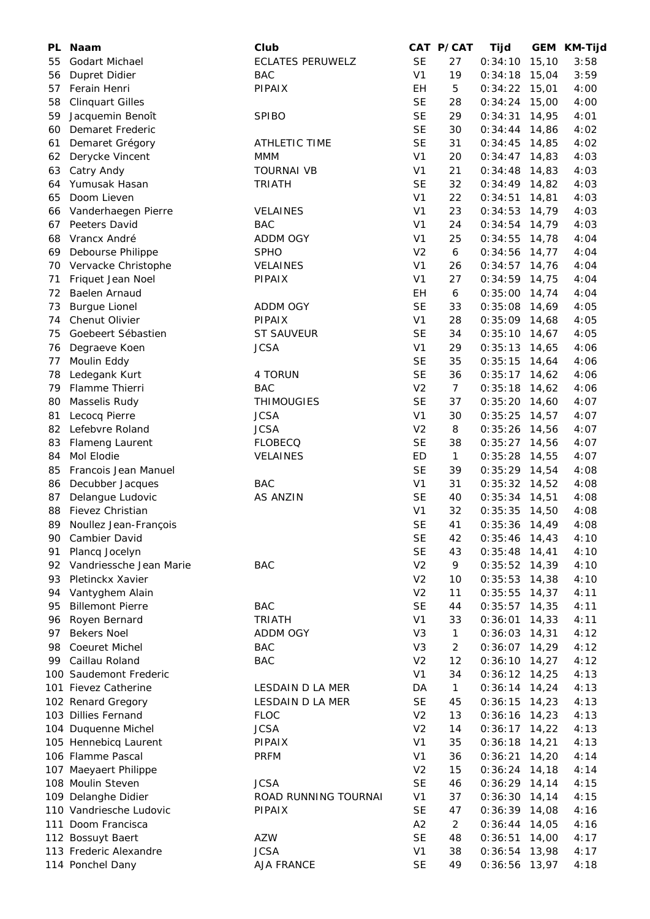| <b>PL</b> | <b>Naam</b>             | Club                    |                | CAT P/CAT      | Tijd            |       | GEM KM-Tijd |
|-----------|-------------------------|-------------------------|----------------|----------------|-----------------|-------|-------------|
| 55        | Godart Michael          | <b>ECLATES PERUWELZ</b> | <b>SE</b>      | 27             | 0:34:10         | 15,10 | 3:58        |
| 56        | Dupret Didier           | <b>BAC</b>              | V <sub>1</sub> | 19             | 0:34:18         | 15,04 | 3:59        |
| 57        | Ferain Henri            | PIPAIX                  | EH             | 5              | 0:34:22         | 15,01 | 4:00        |
| 58        | <b>Clinquart Gilles</b> |                         | <b>SE</b>      | 28             | 0:34:24         | 15,00 | 4:00        |
| 59        | Jacquemin Benoît        | <b>SPIBO</b>            | <b>SE</b>      | 29             | 0:34:31         | 14,95 | 4:01        |
| 60        | Demaret Frederic        |                         | <b>SE</b>      | 30             | 0:34:44         | 14,86 | 4:02        |
| 61        | Demaret Grégory         | <b>ATHLETIC TIME</b>    | <b>SE</b>      | 31             | 0:34:45         | 14,85 | 4:02        |
| 62        | Derycke Vincent         | <b>MMM</b>              | V <sub>1</sub> | 20             | $0:34:47$ 14,83 |       | 4:03        |
| 63        | Catry Andy              | <b>TOURNAI VB</b>       | V <sub>1</sub> | 21             | 0:34:48         | 14,83 | 4:03        |
| 64        | Yumusak Hasan           | <b>TRIATH</b>           | <b>SE</b>      | 32             | $0:34:49$ 14,82 |       | 4:03        |
| 65        | Doom Lieven             |                         | V <sub>1</sub> | 22             | 0:34:51         | 14,81 | 4:03        |
| 66        | Vanderhaegen Pierre     | <b>VELAINES</b>         | V <sub>1</sub> | 23             | 0:34:53         | 14,79 | 4:03        |
| 67        | Peeters David           | <b>BAC</b>              | V <sub>1</sub> | 24             | $0:34:54$ 14,79 |       | 4:03        |
| 68        | Vrancx André            | ADDM OGY                | V <sub>1</sub> | 25             | 0:34:55         | 14,78 | 4:04        |
| 69        | Debourse Philippe       | <b>SPHO</b>             | V <sub>2</sub> | 6              | 0:34:56         | 14,77 | 4:04        |
| 70        | Vervacke Christophe     | <b>VELAINES</b>         | V <sub>1</sub> | 26             | 0:34:57         | 14,76 | 4:04        |
| 71        | Friquet Jean Noel       | PIPAIX                  | V <sub>1</sub> | 27             | 0:34:59         | 14,75 | 4:04        |
| 72        | Baelen Arnaud           |                         | EH             | 6              | 0:35:00         | 14,74 | 4:04        |
| 73        | <b>Burgue Lionel</b>    | ADDM OGY                | <b>SE</b>      | 33             | 0:35:08         | 14,69 | 4:05        |
| 74        | Chenut Olivier          | PIPAIX                  | V <sub>1</sub> | 28             | $0:35:09$ 14,68 |       | 4:05        |
| 75        | Goebeert Sébastien      | <b>ST SAUVEUR</b>       | <b>SE</b>      | 34             | $0:35:10$ 14,67 |       | 4:05        |
| 76        | Degraeve Koen           | <b>JCSA</b>             | V <sub>1</sub> | 29             | $0:35:13$ 14,65 |       | 4:06        |
| 77        | Moulin Eddy             |                         | <b>SE</b>      | 35             | $0:35:15$ 14,64 |       | 4:06        |
| 78        | Ledegank Kurt           | 4 TORUN                 | <b>SE</b>      | 36             | $0:35:17$ 14,62 |       | 4:06        |
| 79        | Flamme Thierri          | <b>BAC</b>              | V <sub>2</sub> | $\overline{7}$ | 0:35:18         | 14,62 | 4:06        |
| 80        | Masselis Rudy           | <b>THIMOUGIES</b>       | <b>SE</b>      | 37             | 0:35:20         | 14,60 | 4:07        |
| 81        | Lecocq Pierre           | <b>JCSA</b>             | V <sub>1</sub> | 30             | 0:35:25         | 14,57 | 4:07        |
| 82        | Lefebvre Roland         | <b>JCSA</b>             | V <sub>2</sub> | 8              | 0:35:26         | 14,56 | 4:07        |
| 83        | Flameng Laurent         | <b>FLOBECQ</b>          | <b>SE</b>      | 38             | 0:35:27         | 14,56 | 4:07        |
| 84        | Mol Elodie              | VELAINES                | ED             | $\mathbf{1}$   | 0:35:28         | 14,55 | 4:07        |
| 85        | Francois Jean Manuel    |                         | <b>SE</b>      | 39             | $0:35:29$ 14,54 |       | 4:08        |
| 86        | Decubber Jacques        | <b>BAC</b>              | V <sub>1</sub> | 31             | $0:35:32$ 14,52 |       | 4:08        |
| 87        | Delangue Ludovic        | <b>AS ANZIN</b>         | <b>SE</b>      | 40             | $0:35:34$ 14,51 |       | 4:08        |
| 88        | Fievez Christian        |                         | V <sub>1</sub> | 32             | 0:35:35         | 14,50 | 4:08        |
| 89        | Noullez Jean-François   |                         | <b>SE</b>      | 41             | $0:35:36$ 14,49 |       | 4:08        |
| 90        | Cambier David           |                         | <b>SE</b>      | 42             | $0:35:46$ 14,43 |       | 4:10        |
| 91        | Plancq Jocelyn          |                         | <b>SE</b>      | 43             | 0:35:48         | 14,41 | 4:10        |
| 92        | Vandriessche Jean Marie | <b>BAC</b>              | V <sub>2</sub> | 9              | $0:35:52$ 14,39 |       | 4:10        |
| 93        | Pletinckx Xavier        |                         | V <sub>2</sub> | 10             | 0:35:53         | 14,38 | 4:10        |
| 94        | Vantyghem Alain         |                         | V <sub>2</sub> | 11             | 0:35:55         | 14,37 | 4:11        |
| 95        | <b>Billemont Pierre</b> | <b>BAC</b>              | <b>SE</b>      | 44             | 0:35:57         | 14,35 | 4:11        |
| 96        | Royen Bernard           | <b>TRIATH</b>           | V <sub>1</sub> | 33             | 0:36:01         | 14,33 | 4:11        |
| 97        | <b>Bekers Noel</b>      | ADDM OGY                | V <sub>3</sub> | $\mathbf{1}$   | 0:36:03         | 14,31 | 4:12        |
| 98        | Coeuret Michel          | <b>BAC</b>              | V <sub>3</sub> | $\overline{c}$ | 0:36:07         | 14,29 | 4:12        |
| 99        | Caillau Roland          | <b>BAC</b>              | V <sub>2</sub> | 12             | $0:36:10$ 14,27 |       | 4:12        |
|           | 100 Saudemont Frederic  |                         | V <sub>1</sub> | 34             | $0:36:12$ 14,25 |       | 4:13        |
|           | 101 Fievez Catherine    | LESDAIN D LA MER        | DA             | $\mathbf{1}$   | $0:36:14$ 14,24 |       | 4:13        |
|           | 102 Renard Gregory      | LESDAIN D LA MER        | <b>SE</b>      | 45             | 0:36:15         | 14,23 | 4:13        |
|           | 103 Dillies Fernand     | <b>FLOC</b>             | V <sub>2</sub> | 13             | 0:36:16         | 14,23 | 4:13        |
|           | 104 Duquenne Michel     | <b>JCSA</b>             | V <sub>2</sub> | 14             | $0:36:17$ 14,22 |       | 4:13        |
|           | 105 Hennebicq Laurent   | PIPAIX                  | V <sub>1</sub> | 35             | 0:36:18         | 14,21 | 4:13        |
|           | 106 Flamme Pascal       | <b>PRFM</b>             | V <sub>1</sub> | 36             | 0:36:21         | 14,20 | 4:14        |
|           | 107 Maeyaert Philippe   |                         | V <sub>2</sub> | 15             | 0:36:24         | 14,18 | 4:14        |
|           | 108 Moulin Steven       | <b>JCSA</b>             | <b>SE</b>      | 46             | 0:36:29         | 14,14 | 4:15        |
|           |                         |                         |                |                |                 |       |             |
|           | 109 Delanghe Didier     | ROAD RUNNING TOURNAI    | V <sub>1</sub> | 37             | 0:36:30         | 14,14 | 4:15        |
|           | 110 Vandriesche Ludovic | PIPAIX                  | <b>SE</b>      | 47             | 0:36:39         | 14,08 | 4:16        |
|           | 111 Doom Francisca      |                         | A2             | $\overline{a}$ | 0:36:44         | 14,05 | 4:16        |
|           | 112 Bossuyt Baert       | AZW                     | <b>SE</b>      | 48             | 0:36:51         | 14,00 | 4:17        |
|           | 113 Frederic Alexandre  | <b>JCSA</b>             | V <sub>1</sub> | 38             | 0:36:54         | 13,98 | 4:17        |
|           | 114 Ponchel Dany        | AJA FRANCE              | <b>SE</b>      | 49             | 0:36:56 13,97   |       | 4:18        |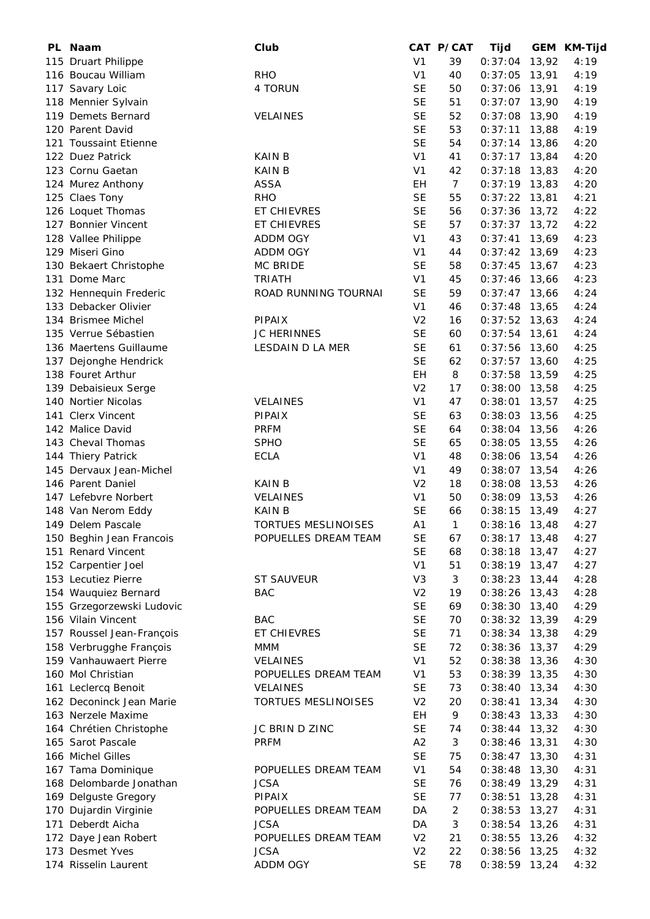| PL Naam                   | Club                 |                | CAT P/CAT      | Tijd            |       | GEM KM-Tijd |
|---------------------------|----------------------|----------------|----------------|-----------------|-------|-------------|
| 115 Druart Philippe       |                      | V <sub>1</sub> | 39             | 0:37:04         | 13,92 | 4:19        |
| 116 Boucau William        | <b>RHO</b>           | V <sub>1</sub> | 40             | 0:37:05         | 13,91 | 4:19        |
| 117 Savary Loic           | 4 TORUN              | <b>SE</b>      | 50             | 0:37:06         | 13,91 | 4:19        |
| 118 Mennier Sylvain       |                      | <b>SE</b>      | 51             | $0:37:07$ 13,90 |       | 4:19        |
| 119 Demets Bernard        | <b>VELAINES</b>      | <b>SE</b>      | 52             | 0:37:08         | 13,90 | 4:19        |
| 120 Parent David          |                      | <b>SE</b>      | 53             | 0:37:11         | 13,88 | 4:19        |
| 121 Toussaint Etienne     |                      | <b>SE</b>      | 54             | 0:37:14         | 13,86 | 4:20        |
| 122 Duez Patrick          | <b>KAIN B</b>        | V <sub>1</sub> | 41             | $0:37:17$ 13,84 |       | 4:20        |
| 123 Cornu Gaetan          | <b>KAIN B</b>        | V <sub>1</sub> | 42             | 0:37:18         | 13,83 | 4:20        |
| 124 Murez Anthony         | <b>ASSA</b>          | <b>EH</b>      | 7 <sup>7</sup> | $0:37:19$ 13,83 |       | 4:20        |
| 125 Claes Tony            | <b>RHO</b>           | <b>SE</b>      | 55             | 0:37:22         | 13,81 | 4:21        |
|                           | ET CHIEVRES          | <b>SE</b>      | 56             | $0:37:36$ 13,72 |       | 4:22        |
| 126 Loquet Thomas         |                      |                |                |                 |       |             |
| 127 Bonnier Vincent       | ET CHIEVRES          | <b>SE</b>      | 57             | $0:37:37$ 13,72 |       | 4:22        |
| 128 Vallee Philippe       | ADDM OGY             | V <sub>1</sub> | 43             | 0:37:41         | 13,69 | 4:23        |
| 129 Miseri Gino           | ADDM OGY             | V <sub>1</sub> | 44             | $0:37:42$ 13,69 |       | 4:23        |
| 130 Bekaert Christophe    | MC BRIDE             | <b>SE</b>      | 58             | $0:37:45$ 13,67 |       | 4:23        |
| 131 Dome Marc             | <b>TRIATH</b>        | V <sub>1</sub> | 45             | 0:37:46         | 13,66 | 4:23        |
| 132 Hennequin Frederic    | ROAD RUNNING TOURNAI | <b>SE</b>      | 59             | $0:37:47$ 13,66 |       | 4:24        |
| 133 Debacker Olivier      |                      | V <sub>1</sub> | 46             | 0:37:48         | 13,65 | 4:24        |
| 134 Brismee Michel        | PIPAIX               | V <sub>2</sub> | 16             | $0:37:52$ 13,63 |       | 4:24        |
| 135 Verrue Sébastien      | <b>JC HERINNES</b>   | <b>SE</b>      | 60             | 0:37:54         | 13,61 | 4:24        |
| 136 Maertens Guillaume    | LESDAIN D LA MER     | <b>SE</b>      | 61             | 0:37:56         | 13,60 | 4:25        |
| 137 Dejonghe Hendrick     |                      | <b>SE</b>      | 62             | 0:37:57         | 13,60 | 4:25        |
| 138 Fouret Arthur         |                      | EH             | 8              | 0:37:58         | 13,59 | 4:25        |
| 139 Debaisieux Serge      |                      | V <sub>2</sub> | 17             | 0:38:00         | 13,58 | 4:25        |
| 140 Nortier Nicolas       | VELAINES             | V <sub>1</sub> | 47             | 0:38:01         | 13,57 | 4:25        |
| 141 Clerx Vincent         | <b>PIPAIX</b>        | <b>SE</b>      | 63             | 0:38:03         | 13,56 | 4:25        |
| 142 Malice David          | <b>PRFM</b>          | <b>SE</b>      | 64             | 0:38:04         | 13,56 | 4:26        |
| 143 Cheval Thomas         | <b>SPHO</b>          | <b>SE</b>      | 65             | 0:38:05         | 13,55 | 4:26        |
| 144 Thiery Patrick        | <b>ECLA</b>          | V <sub>1</sub> | 48             | 0:38:06         | 13,54 | 4:26        |
|                           |                      |                |                |                 |       |             |
| 145 Dervaux Jean-Michel   |                      | V <sub>1</sub> | 49             | $0:38:07$ 13,54 |       | 4:26        |
| 146 Parent Daniel         | <b>KAIN B</b>        | V <sub>2</sub> | 18             | 0:38:08         | 13,53 | 4:26        |
| 147 Lefebvre Norbert      | <b>VELAINES</b>      | V <sub>1</sub> | 50             | $0:38:09$ 13,53 |       | 4:26        |
| 148 Van Nerom Eddy        | <b>KAIN B</b>        | <b>SE</b>      | 66             | 0:38:15         | 13,49 | 4:27        |
| 149 Delem Pascale         | TORTUES MESLINOISES  | A <sub>1</sub> | $\mathbf{1}$   | $0:38:16$ 13,48 |       | 4:27        |
| 150 Beghin Jean Francois  | POPUELLES DREAM TEAM | <b>SE</b>      | 67             | $0:38:17$ 13,48 |       | 4:27        |
| 151 Renard Vincent        |                      | <b>SE</b>      | 68             | $0:38:18$ 13,47 |       | 4:27        |
| 152 Carpentier Joel       |                      | V <sub>1</sub> | 51             | $0:38:19$ 13,47 |       | 4:27        |
| 153 Lecutiez Pierre       | <b>ST SAUVEUR</b>    | V <sub>3</sub> | 3              | $0:38:23$ 13,44 |       | 4:28        |
| 154 Wauquiez Bernard      | <b>BAC</b>           | V <sub>2</sub> | 19             | $0:38:26$ 13,43 |       | 4:28        |
| 155 Grzegorzewski Ludovic |                      | <b>SE</b>      | 69             | $0:38:30$ 13,40 |       | 4:29        |
| 156 Vilain Vincent        | <b>BAC</b>           | <b>SE</b>      | 70             | $0:38:32$ 13,39 |       | 4:29        |
| 157 Roussel Jean-François | ET CHIEVRES          | <b>SE</b>      | 71             | 0:38:34         | 13,38 | 4:29        |
| 158 Verbrugghe François   | <b>MMM</b>           | <b>SE</b>      | 72             | 0:38:36         | 13,37 | 4:29        |
| 159 Vanhauwaert Pierre    | <b>VELAINES</b>      | V <sub>1</sub> | 52             | $0:38:38$ 13,36 |       | 4:30        |
| 160 Mol Christian         | POPUELLES DREAM TEAM | V <sub>1</sub> | 53             | $0:38:39$ 13,35 |       | 4:30        |
| 161 Leclercq Benoit       | <b>VELAINES</b>      | <b>SE</b>      | 73             | $0:38:40$ 13,34 |       | 4:30        |
| 162 Deconinck Jean Marie  | TORTUES MESLINOISES  | V <sub>2</sub> | 20             | 0:38:41         | 13,34 | 4:30        |
| 163 Nerzele Maxime        |                      | EH             | 9              | $0:38:43$ 13,33 |       | 4:30        |
|                           |                      |                |                |                 |       |             |
| 164 Chrétien Christophe   | JC BRIN D ZINC       | <b>SE</b>      | 74             | $0:38:44$ 13,32 |       | 4:30        |
| 165 Sarot Pascale         | <b>PRFM</b>          | A2             | 3              | $0:38:46$ 13,31 |       | 4:30        |
| 166 Michel Gilles         |                      | <b>SE</b>      | 75             | $0:38:47$ 13,30 |       | 4:31        |
| 167 Tama Dominique        | POPUELLES DREAM TEAM | V <sub>1</sub> | 54             | 0:38:48         | 13,30 | 4:31        |
| 168 Delombarde Jonathan   | <b>JCSA</b>          | <b>SE</b>      | 76             | $0:38:49$ 13,29 |       | 4:31        |
| 169 Delguste Gregory      | <b>PIPAIX</b>        | <b>SE</b>      | 77             | 0:38:51         | 13,28 | 4:31        |
| 170 Dujardin Virginie     | POPUELLES DREAM TEAM | DA             | $\overline{c}$ | 0:38:53         | 13,27 | 4:31        |
| 171 Deberdt Aicha         | <b>JCSA</b>          | DA             | 3              | 0:38:54         | 13,26 | 4:31        |
| 172 Daye Jean Robert      | POPUELLES DREAM TEAM | V <sub>2</sub> | 21             | 0:38:55         | 13,26 | 4:32        |
| 173 Desmet Yves           | <b>JCSA</b>          | V <sub>2</sub> | 22             | 0:38:56         | 13,25 | 4:32        |
| 174 Risselin Laurent      | ADDM OGY             | <b>SE</b>      | 78             | $0:38:59$ 13,24 |       | 4:32        |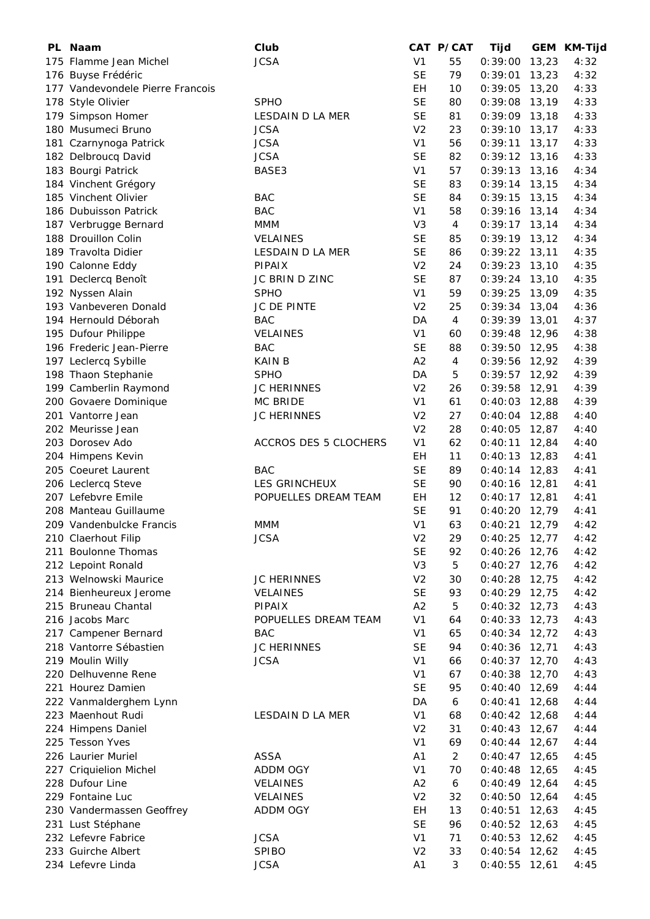| PL Naam                                     | Club                                  |                                  | CAT P/CAT                | Tijd            |       | GEM KM-Tijd |
|---------------------------------------------|---------------------------------------|----------------------------------|--------------------------|-----------------|-------|-------------|
| 175 Flamme Jean Michel                      | <b>JCSA</b>                           | V <sub>1</sub>                   | 55                       | 0:39:00         | 13,23 | 4:32        |
| 176 Buyse Frédéric                          |                                       | <b>SE</b>                        | 79                       | 0:39:01         | 13,23 | 4:32        |
| 177 Vandevondele Pierre Francois            |                                       | EH                               | 10                       | 0:39:05         | 13,20 | 4:33        |
| 178 Style Olivier                           | <b>SPHO</b>                           | <b>SE</b>                        | 80                       | 0:39:08         | 13,19 | 4:33        |
| 179 Simpson Homer                           | <b>LESDAIN D LA MER</b>               | <b>SE</b>                        | 81                       | $0:39:09$ 13,18 |       | 4:33        |
| 180 Musumeci Bruno                          | <b>JCSA</b>                           | V <sub>2</sub>                   | 23                       | 0:39:10         | 13,17 | 4:33        |
| 181 Czarnynoga Patrick                      | <b>JCSA</b>                           | V <sub>1</sub>                   | 56                       | 0:39:11         | 13,17 | 4:33        |
| 182 Delbroucq David                         | <b>JCSA</b>                           | <b>SE</b>                        | 82                       | $0:39:12$ 13,16 |       | 4:33        |
| 183 Bourgi Patrick                          | BASE3                                 | V <sub>1</sub>                   | 57                       | 0:39:13         | 13,16 | 4:34        |
| 184 Vinchent Grégory                        |                                       | <b>SE</b>                        | 83                       | $0:39:14$ 13,15 |       | 4:34        |
| 185 Vinchent Olivier                        | <b>BAC</b>                            | <b>SE</b>                        | 84                       | 0:39:15         | 13,15 | 4:34        |
| 186 Dubuisson Patrick                       | <b>BAC</b>                            | V <sub>1</sub>                   | 58                       | 0:39:16         | 13,14 | 4:34        |
| 187 Verbrugge Bernard                       | <b>MMM</b>                            | V <sub>3</sub>                   | 4                        | $0:39:17$ 13,14 |       | 4:34        |
| 188 Drouillon Colin                         | <b>VELAINES</b>                       | <b>SE</b>                        | 85                       | $0:39:19$ 13,12 |       | 4:34        |
| 189 Travolta Didier                         | LESDAIN D LA MER                      | <b>SE</b>                        | 86                       | $0:39:22$ 13,11 |       | 4:35        |
| 190 Calonne Eddy                            | PIPAIX                                | V <sub>2</sub>                   | 24                       | 0:39:23         | 13,10 | 4:35        |
| 191 Declercq Benoît                         | JC BRIN D ZINC                        | <b>SE</b>                        | 87                       | 0:39:24         | 13,10 | 4:35        |
| 192 Nyssen Alain                            | <b>SPHO</b>                           | V <sub>1</sub>                   | 59                       | 0:39:25         | 13,09 | 4:35        |
| 193 Vanbeveren Donald                       | JC DE PINTE                           | V <sub>2</sub>                   | 25                       | 0:39:34         | 13,04 | 4:36        |
| 194 Hernould Déborah                        | <b>BAC</b>                            | DA                               | 4                        | 0:39:39         | 13,01 | 4:37        |
| 195 Dufour Philippe                         | <b>VELAINES</b>                       | V <sub>1</sub>                   | 60                       | 0:39:48         | 12,96 | 4:38        |
| 196 Frederic Jean-Pierre                    | <b>BAC</b>                            | <b>SE</b>                        | 88                       | 0:39:50         | 12,95 | 4:38        |
| 197 Leclercq Sybille                        | <b>KAIN B</b>                         | A2                               | $\overline{\mathcal{A}}$ | 0:39:56         | 12,92 | 4:39        |
| 198 Thaon Stephanie                         | <b>SPHO</b>                           | DA                               | 5                        | 0:39:57         | 12,92 | 4:39        |
| 199 Camberlin Raymond                       | <b>JC HERINNES</b>                    | V <sub>2</sub>                   | 26                       | 0:39:58         | 12,91 | 4:39        |
| 200 Govaere Dominique                       | <b>MC BRIDE</b>                       | V <sub>1</sub>                   | 61                       | 0:40:03         | 12,88 | 4:39        |
| 201 Vantorre Jean                           | <b>JC HERINNES</b>                    | V <sub>2</sub>                   | 27                       | 0:40:04         | 12,88 | 4:40        |
| 202 Meurisse Jean                           |                                       | V <sub>2</sub>                   | 28                       | 0:40:05         | 12,87 | 4:40        |
| 203 Dorosev Ado                             | ACCROS DES 5 CLOCHERS                 | V <sub>1</sub>                   | 62                       | 0:40:11         | 12,84 | 4:40        |
| 204 Himpens Kevin                           |                                       | EH                               | 11                       | 0:40:13         | 12,83 | 4:41        |
| 205 Coeuret Laurent                         | <b>BAC</b>                            | <b>SE</b>                        | 89                       | 0:40:14         | 12,83 | 4:41        |
| 206 Leclercq Steve                          | LES GRINCHEUX                         | <b>SE</b>                        | 90                       | 0:40:16         | 12,81 | 4:41        |
| 207 Lefebvre Emile                          | POPUELLES DREAM TEAM                  | EH                               | 12                       | $0:40:17$ 12,81 |       | 4:41        |
| 208 Manteau Guillaume                       |                                       | <b>SE</b>                        | 91                       | 0:40:20         | 12,79 | 4:41        |
| 209 Vandenbulcke Francis                    | MMM                                   | V <sub>1</sub>                   | 63                       | 0:40:21         | 12,79 | 4:42        |
| 210 Claerhout Filip                         | <b>JCSA</b>                           | V <sub>2</sub>                   | 29                       | 0:40:25         | 12,77 | 4:42        |
| 211 Boulonne Thomas                         |                                       | <b>SE</b>                        | 92                       | 0:40:26         | 12,76 | 4:42        |
|                                             |                                       | V <sub>3</sub>                   | 5                        | $0:40:27$ 12,76 |       | 4:42        |
| 212 Lepoint Ronald<br>213 Welnowski Maurice |                                       | V <sub>2</sub>                   |                          | 0:40:28         | 12,75 | 4:42        |
| 214 Bienheureux Jerome                      | <b>JC HERINNES</b><br><b>VELAINES</b> | <b>SE</b>                        | 30                       | $0:40:29$ 12,75 |       |             |
|                                             |                                       |                                  | 93                       | 0:40:32         |       | 4:42        |
| 215 Bruneau Chantal                         | <b>PIPAIX</b><br>POPUELLES DREAM TEAM | A2                               | 5                        |                 | 12,73 | 4:43        |
| 216 Jacobs Marc                             |                                       | V <sub>1</sub><br>V <sub>1</sub> | 64                       | 0:40:33         | 12,73 | 4:43        |
| 217 Campener Bernard                        | <b>BAC</b>                            |                                  | 65                       | 0:40:34         | 12,72 | 4:43        |
| 218 Vantorre Sébastien                      | <b>JC HERINNES</b>                    | <b>SE</b>                        | 94                       | 0:40:36         | 12,71 | 4:43        |
| 219 Moulin Willy                            | <b>JCSA</b>                           | V <sub>1</sub>                   | 66                       | 0:40:37         | 12,70 | 4:43        |
| 220 Delhuvenne Rene                         |                                       | V <sub>1</sub>                   | 67                       | 0:40:38         | 12,70 | 4:43        |
| 221 Hourez Damien                           |                                       | <b>SE</b>                        | 95                       | 0:40:40         | 12,69 | 4:44        |
| 222 Vanmalderghem Lynn                      |                                       | DA                               | 6                        | 0:40:41         | 12,68 | 4:44        |
| 223 Maenhout Rudi                           | LESDAIN D LA MER                      | V <sub>1</sub>                   | 68                       | $0:40:42$ 12,68 |       | 4:44        |
| 224 Himpens Daniel                          |                                       | V <sub>2</sub>                   | 31                       | $0:40:43$ 12,67 |       | 4:44        |
| 225 Tesson Yves                             |                                       | V <sub>1</sub>                   | 69                       | $0:40:44$ 12,67 |       | 4:44        |
| 226 Laurier Muriel                          | <b>ASSA</b>                           | A1                               | $\overline{2}$           | $0:40:47$ 12,65 |       | 4:45        |
| 227 Criquielion Michel                      | ADDM OGY                              | V <sub>1</sub>                   | 70                       | 0:40:48         | 12,65 | 4:45        |
| 228 Dufour Line                             | VELAINES                              | A2                               | $\boldsymbol{6}$         | $0:40:49$ 12,64 |       | 4:45        |
| 229 Fontaine Luc                            | <b>VELAINES</b>                       | V <sub>2</sub>                   | 32                       | 0:40:50         | 12,64 | 4:45        |
| 230 Vandermassen Geoffrey                   | ADDM OGY                              | EH                               | 13                       | 0:40:51         | 12,63 | 4:45        |
| 231 Lust Stéphane                           |                                       | <b>SE</b>                        | 96                       | 0:40:52         | 12,63 | 4:45        |
| 232 Lefevre Fabrice                         | <b>JCSA</b>                           | V <sub>1</sub>                   | 71                       | 0:40:53         | 12,62 | 4:45        |
| 233 Guirche Albert                          | <b>SPIBO</b>                          | V <sub>2</sub>                   | 33                       | 0:40:54         | 12,62 | 4:45        |
| 234 Lefevre Linda                           | <b>JCSA</b>                           | A <sub>1</sub>                   | 3                        | $0:40:55$ 12,61 |       | 4:45        |
|                                             |                                       |                                  |                          |                 |       |             |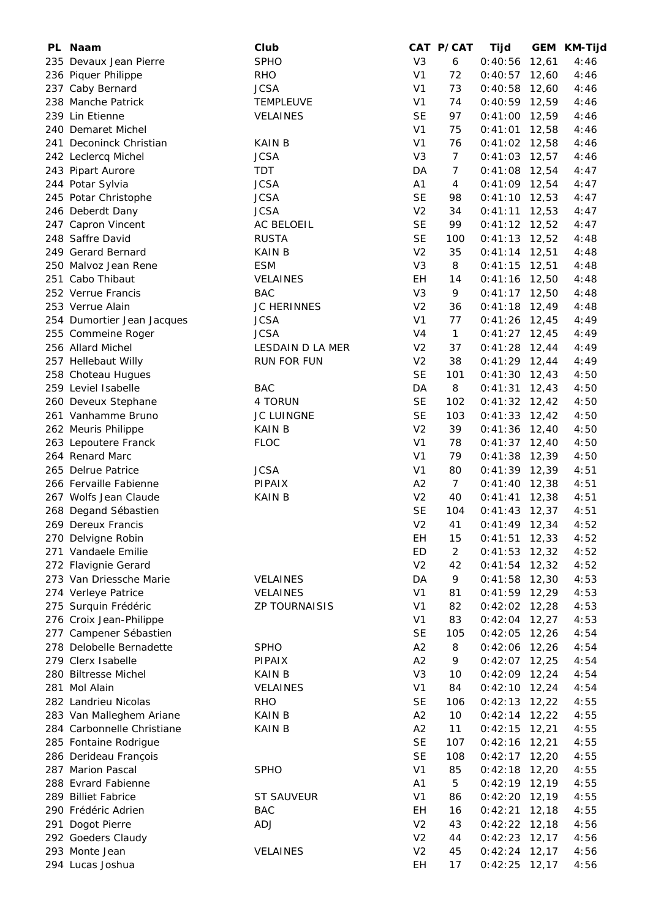| PL. | <b>Naam</b>                | Club                 |                | CAT P/CAT       | Tijd            |       | GEM KM-Tijd |
|-----|----------------------------|----------------------|----------------|-----------------|-----------------|-------|-------------|
|     | 235 Devaux Jean Pierre     | <b>SPHO</b>          | V <sub>3</sub> | 6               | 0:40:56         | 12,61 | 4:46        |
|     | 236 Piquer Philippe        | <b>RHO</b>           | V <sub>1</sub> | 72              | 0:40:57         | 12,60 | 4:46        |
|     | 237 Caby Bernard           | <b>JCSA</b>          | V <sub>1</sub> | 73              | 0:40:58         | 12,60 | 4:46        |
|     | 238 Manche Patrick         | <b>TEMPLEUVE</b>     | V <sub>1</sub> | 74              | $0:40:59$ 12,59 |       | 4:46        |
|     | 239 Lin Etienne            | VELAINES             | <b>SE</b>      | 97              | 0:41:00         | 12,59 | 4:46        |
|     | 240 Demaret Michel         |                      | V <sub>1</sub> | 75              | 0:41:01         | 12,58 | 4:46        |
|     | 241 Deconinck Christian    | KAIN B               | V <sub>1</sub> | 76              | $0:41:02$ 12,58 |       | 4:46        |
|     | 242 Leclercq Michel        | <b>JCSA</b>          | V <sub>3</sub> | $\overline{7}$  | 0:41:03         | 12,57 | 4:46        |
|     | 243 Pipart Aurore          | <b>TDT</b>           | DA             | $\overline{7}$  | $0:41:08$ 12,54 |       | 4:47        |
|     | 244 Potar Sylvia           | <b>JCSA</b>          | A1             | 4               | $0:41:09$ 12,54 |       | 4:47        |
|     | 245 Potar Christophe       | <b>JCSA</b>          | <b>SE</b>      | 98              | $0:41:10$ 12,53 |       | 4:47        |
|     | 246 Deberdt Dany           | <b>JCSA</b>          | V <sub>2</sub> | 34              | 0:41:11         | 12,53 | 4:47        |
|     | 247 Capron Vincent         | AC BELOEIL           | <b>SE</b>      | 99              | $0:41:12$ 12,52 |       | 4:47        |
|     | 248 Saffre David           | <b>RUSTA</b>         | <b>SE</b>      | 100             | 0:41:13         | 12,52 | 4:48        |
|     | 249 Gerard Bernard         | <b>KAIN B</b>        | V <sub>2</sub> | 35              | 0:41:14         | 12,51 | 4:48        |
|     | 250 Malvoz Jean Rene       | <b>ESM</b>           | V <sub>3</sub> | 8               | 0:41:15         | 12,51 | 4:48        |
|     | 251 Cabo Thibaut           |                      | EH             |                 |                 | 12,50 | 4:48        |
|     | 252 Verrue Francis         | <b>VELAINES</b>      |                | 14              | 0:41:16         |       |             |
|     |                            | <b>BAC</b>           | V <sub>3</sub> | 9               | $0:41:17$ 12,50 |       | 4:48        |
|     | 253 Verrue Alain           | <b>JC HERINNES</b>   | V <sub>2</sub> | 36              | 0:41:18         | 12,49 | 4:48        |
|     | 254 Dumortier Jean Jacques | <b>JCSA</b>          | V <sub>1</sub> | 77              | 0:41:26         | 12,45 | 4:49        |
|     | 255 Commeine Roger         | <b>JCSA</b>          | V <sub>4</sub> | $\mathbf{1}$    | $0:41:27$ 12,45 |       | 4:49        |
|     | 256 Allard Michel          | LESDAIN D LA MER     | V <sub>2</sub> | 37              | 0:41:28         | 12,44 | 4:49        |
|     | 257 Hellebaut Willy        | <b>RUN FOR FUN</b>   | V <sub>2</sub> | 38              | $0:41:29$ 12,44 |       | 4:49        |
|     | 258 Choteau Hugues         |                      | <b>SE</b>      | 101             | $0:41:30$ 12,43 |       | 4:50        |
|     | 259 Leviel Isabelle        | <b>BAC</b>           | DA             | 8               | 0:41:31         | 12,43 | 4:50        |
|     | 260 Deveux Stephane        | 4 TORUN              | <b>SE</b>      | 102             | $0:41:32$ 12,42 |       | 4:50        |
|     | 261 Vanhamme Bruno         | JC LUINGNE           | <b>SE</b>      | 103             | 0:41:33         | 12,42 | 4:50        |
|     | 262 Meuris Philippe        | <b>KAIN B</b>        | V <sub>2</sub> | 39              | 0:41:36         | 12,40 | 4:50        |
|     | 263 Lepoutere Franck       | <b>FLOC</b>          | V <sub>1</sub> | 78              | $0:41:37$ 12,40 |       | 4:50        |
|     | 264 Renard Marc            |                      | V <sub>1</sub> | 79              | 0:41:38         | 12,39 | 4:50        |
|     | 265 Delrue Patrice         | <b>JCSA</b>          | V <sub>1</sub> | 80              | $0:41:39$ 12,39 |       | 4:51        |
|     | 266 Fervaille Fabienne     | <b>PIPAIX</b>        | A2             | $7\overline{ }$ | $0:41:40$ 12,38 |       | 4:51        |
|     | 267 Wolfs Jean Claude      | <b>KAIN B</b>        | V <sub>2</sub> | 40              | 0:41:41         | 12,38 | 4:51        |
|     | 268 Degand Sébastien       |                      | <b>SE</b>      | 104             | 0:41:43         | 12,37 | 4:51        |
|     | 269 Dereux Francis         |                      | V <sub>2</sub> | 41              | $0:41:49$ 12,34 |       | 4:52        |
|     | 270 Delvigne Robin         |                      | EH             | 15              | 0:41:51         | 12,33 | 4:52        |
|     | 271 Vandaele Emilie        |                      | ED             | $\overline{2}$  | 0:41:53         | 12,32 | 4:52        |
|     | 272 Flavignie Gerard       |                      | V <sub>2</sub> | 42              | 0:41:54         | 12,32 | 4:52        |
|     | 273 Van Driessche Marie    | <b>VELAINES</b>      | DA             | 9               | 0:41:58         | 12,30 | 4:53        |
|     | 274 Verleye Patrice        | VELAINES             | V <sub>1</sub> | 81              | $0:41:59$ 12,29 |       | 4:53        |
|     | 275 Surquin Frédéric       | <b>ZP TOURNAISIS</b> | V <sub>1</sub> | 82              | 0:42:02         | 12,28 | 4:53        |
|     | 276 Croix Jean-Philippe    |                      | V <sub>1</sub> | 83              | 0:42:04         | 12,27 | 4:53        |
|     | 277 Campener Sébastien     |                      | <b>SE</b>      | 105             | 0:42:05         | 12,26 | 4:54        |
|     | 278 Delobelle Bernadette   | <b>SPHO</b>          | A2             | 8               | 0:42:06         | 12,26 | 4:54        |
|     | 279 Clerx Isabelle         | PIPAIX               | A2             | 9               | 0:42:07         | 12,25 | 4:54        |
|     | 280 Biltresse Michel       | KAIN B               | V <sub>3</sub> | 10              | 0:42:09         | 12,24 | 4:54        |
|     | 281 Mol Alain              | <b>VELAINES</b>      | V <sub>1</sub> | 84              | $0:42:10$ 12,24 |       | 4:54        |
|     | 282 Landrieu Nicolas       | <b>RHO</b>           | <b>SE</b>      | 106             | 0:42:13         | 12,22 | 4:55        |
|     | 283 Van Malleghem Ariane   | <b>KAIN B</b>        | A2             | 10              | $0:42:14$ 12,22 |       | 4:55        |
|     | 284 Carbonnelle Christiane | KAIN B               | A2             | 11              | 0:42:15         | 12,21 | 4:55        |
|     | 285 Fontaine Rodrigue      |                      | <b>SE</b>      | 107             | 0:42:16         | 12,21 | 4:55        |
|     | 286 Derideau François      |                      | <b>SE</b>      | 108             | 0:42:17         | 12,20 | 4:55        |
|     | 287 Marion Pascal          | <b>SPHO</b>          | V <sub>1</sub> | 85              | 0:42:18         | 12,20 | 4:55        |
|     | 288 Evrard Fabienne        |                      | A1             |                 |                 |       |             |
|     |                            |                      |                | 5               | 0:42:19         | 12,19 | 4:55        |
|     | 289 Billiet Fabrice        | <b>ST SAUVEUR</b>    | V <sub>1</sub> | 86              | 0:42:20         | 12,19 | 4:55        |
|     | 290 Frédéric Adrien        | <b>BAC</b>           | EH             | 16              | 0:42:21         | 12,18 | 4:55        |
| 291 | Dogot Pierre               | ADJ                  | V <sub>2</sub> | 43              | 0:42:22         | 12,18 | 4:56        |
|     | 292 Goeders Claudy         |                      | V <sub>2</sub> | 44              | 0:42:23         | 12,17 | 4:56        |
|     | 293 Monte Jean             | VELAINES             | V <sub>2</sub> | 45              | $0:42:24$ 12,17 |       | 4:56        |
|     | 294 Lucas Joshua           |                      | EH             | 17              | $0:42:25$ 12,17 |       | 4:56        |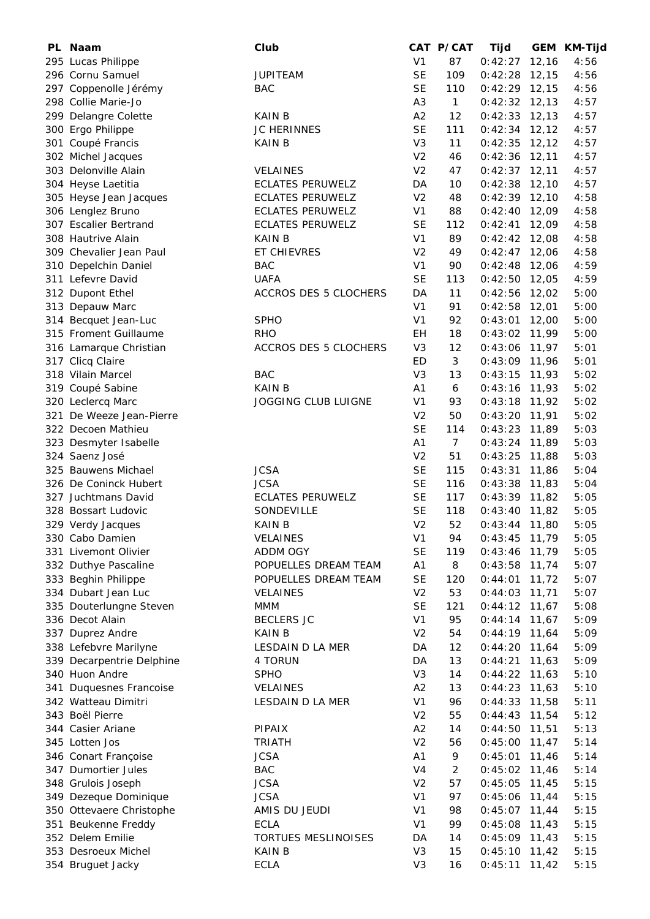| PL. | <b>Naam</b>               | Club                       |                | CAT P/CAT       | Tijd            |        | GEM KM-Tijd |
|-----|---------------------------|----------------------------|----------------|-----------------|-----------------|--------|-------------|
|     | 295 Lucas Philippe        |                            | V <sub>1</sub> | 87              | 0:42:27         | 12,16  | 4:56        |
|     | 296 Cornu Samuel          | <b>JUPITEAM</b>            | <b>SE</b>      | 109             | 0:42:28         | 12,15  | 4:56        |
|     | 297 Coppenolle Jérémy     | <b>BAC</b>                 | <b>SE</b>      | 110             | $0:42:29$ 12,15 |        | 4:56        |
|     | 298 Collie Marie-Jo       |                            | A <sub>3</sub> | $\mathbf{1}$    | $0:42:32$ 12,13 |        | 4:57        |
|     | 299 Delangre Colette      | <b>KAIN B</b>              | A2             | 12              | 0:42:33         | 12,13  | 4:57        |
|     | 300 Ergo Philippe         | <b>JC HERINNES</b>         | <b>SE</b>      | 111             | 0:42:34         | 12,12  | 4:57        |
|     | 301 Coupé Francis         | <b>KAIN B</b>              | V <sub>3</sub> | 11              | 0:42:35         | 12, 12 | 4:57        |
|     | 302 Michel Jacques        |                            | V <sub>2</sub> | 46              | 0:42:36         | 12,11  | 4:57        |
|     | 303 Delonville Alain      | <b>VELAINES</b>            | V <sub>2</sub> | 47              | $0:42:37$ 12,11 |        | 4:57        |
|     | 304 Heyse Laetitia        | <b>ECLATES PERUWELZ</b>    | DA             | 10              | 0:42:38         | 12,10  | 4:57        |
|     | 305 Heyse Jean Jacques    | <b>ECLATES PERUWELZ</b>    | V <sub>2</sub> | 48              | $0:42:39$ 12,10 |        | 4:58        |
|     | 306 Lenglez Bruno         | <b>ECLATES PERUWELZ</b>    | V <sub>1</sub> | 88              | $0:42:40$ 12,09 |        | 4:58        |
|     | 307 Escalier Bertrand     | <b>ECLATES PERUWELZ</b>    | <b>SE</b>      | 112             | 0:42:41         | 12,09  | 4:58        |
|     | 308 Hautrive Alain        | <b>KAIN B</b>              | V <sub>1</sub> | 89              |                 |        | 4:58        |
|     |                           |                            |                |                 | $0:42:42$ 12,08 |        |             |
|     | 309 Chevalier Jean Paul   | ET CHIEVRES                | V <sub>2</sub> | 49              | $0:42:47$ 12,06 |        | 4:58        |
|     | 310 Depelchin Daniel      | <b>BAC</b>                 | V <sub>1</sub> | 90              | 0:42:48         | 12,06  | 4:59        |
|     | 311 Lefevre David         | <b>UAFA</b>                | <b>SE</b>      | 113             | $0:42:50$ 12,05 |        | 4:59        |
|     | 312 Dupont Ethel          | ACCROS DES 5 CLOCHERS      | DA             | 11              | 0:42:56         | 12,02  | 5:00        |
|     | 313 Depauw Marc           |                            | V <sub>1</sub> | 91              | 0:42:58         | 12,01  | 5:00        |
|     | 314 Becquet Jean-Luc      | <b>SPHO</b>                | V <sub>1</sub> | 92              | 0:43:01         | 12,00  | 5:00        |
|     | 315 Froment Guillaume     | <b>RHO</b>                 | EH             | 18              | $0:43:02$ 11,99 |        | 5:00        |
|     | 316 Lamarque Christian    | ACCROS DES 5 CLOCHERS      | V <sub>3</sub> | 12              | 0:43:06         | 11,97  | 5:01        |
|     | 317 Clicq Claire          |                            | ED             | 3               | $0:43:09$ 11,96 |        | 5:01        |
|     | 318 Vilain Marcel         | <b>BAC</b>                 | V <sub>3</sub> | 13              | 0:43:15         | 11,93  | 5:02        |
|     | 319 Coupé Sabine          | <b>KAIN B</b>              | A1             | 6               | 0:43:16         | 11,93  | 5:02        |
|     | 320 Leclercq Marc         | <b>JOGGING CLUB LUIGNE</b> | V <sub>1</sub> | 93              | 0:43:18         | 11,92  | 5:02        |
|     | 321 De Weeze Jean-Pierre  |                            | V <sub>2</sub> | 50              | 0:43:20         | 11,91  | 5:02        |
|     | 322 Decoen Mathieu        |                            | <b>SE</b>      | 114             | 0:43:23         | 11,89  | 5:03        |
|     | 323 Desmyter Isabelle     |                            | A1             | $7\overline{ }$ | 0:43:24         | 11,89  | 5:03        |
|     | 324 Saenz José            |                            | V <sub>2</sub> | 51              | 0:43:25         | 11,88  | 5:03        |
|     | 325 Bauwens Michael       | <b>JCSA</b>                | <b>SE</b>      | 115             | 0:43:31         | 11,86  | 5:04        |
|     | 326 De Coninck Hubert     | <b>JCSA</b>                | <b>SE</b>      | 116             | 0:43:38         | 11,83  | 5:04        |
|     | 327 Juchtmans David       | <b>ECLATES PERUWELZ</b>    | <b>SE</b>      | 117             | $0:43:39$ 11,82 |        | 5:05        |
|     | 328 Bossart Ludovic       | SONDEVILLE                 | <b>SE</b>      | 118             | 0:43:40         | 11,82  | 5:05        |
|     | 329 Verdy Jacques         | <b>KAIN B</b>              | V <sub>2</sub> | 52              | $0:43:44$ 11,80 |        | 5:05        |
|     | 330 Cabo Damien           | VELAINES                   | V <sub>1</sub> | 94              | 0:43:45         | 11,79  | 5:05        |
|     | 331 Livemont Olivier      | ADDM OGY                   | <b>SE</b>      | 119             | $0:43:46$ 11,79 |        | 5:05        |
|     | 332 Duthye Pascaline      | POPUELLES DREAM TEAM       | A1             | 8               | $0:43:58$ 11,74 |        | 5:07        |
|     | 333 Beghin Philippe       | POPUELLES DREAM TEAM       | <b>SE</b>      | 120             | 0:44:01         | 11,72  | 5:07        |
|     | 334 Dubart Jean Luc       | <b>VELAINES</b>            | V <sub>2</sub> | 53              | 0:44:03         | 11,71  | 5:07        |
|     |                           |                            | <b>SE</b>      |                 |                 |        |             |
|     | 335 Douterlungne Steven   | <b>MMM</b>                 | V <sub>1</sub> | 121             | $0:44:12$ 11,67 |        | 5:08        |
|     | 336 Decot Alain           | <b>BECLERS JC</b>          |                | 95              | 0:44:14         | 11,67  | 5:09        |
|     | 337 Duprez Andre          | KAIN B                     | V <sub>2</sub> | 54              | $0:44:19$ 11,64 |        | 5:09        |
|     | 338 Lefebvre Marilyne     | LESDAIN D LA MER           | DA             | 12              | $0:44:20$ 11,64 |        | 5:09        |
|     | 339 Decarpentrie Delphine | 4 TORUN                    | DA             | 13              | 0:44:21         | 11,63  | 5:09        |
|     | 340 Huon Andre            | <b>SPHO</b>                | V <sub>3</sub> | 14              | $0:44:22$ 11,63 |        | 5:10        |
|     | 341 Duquesnes Francoise   | <b>VELAINES</b>            | A2             | 13              | $0:44:23$ 11,63 |        | 5:10        |
|     | 342 Watteau Dimitri       | LESDAIN D LA MER           | V <sub>1</sub> | 96              | $0:44:33$ 11,58 |        | 5:11        |
|     | 343 Boël Pierre           |                            | V <sub>2</sub> | 55              | $0:44:43$ 11,54 |        | 5:12        |
|     | 344 Casier Ariane         | PIPAIX                     | A2             | 14              | $0:44:50$ 11,51 |        | 5:13        |
|     | 345 Lotten Jos            | <b>TRIATH</b>              | V <sub>2</sub> | 56              | 0:45:00         | 11,47  | 5:14        |
|     | 346 Conart Françoise      | <b>JCSA</b>                | A1             | 9               | 0:45:01         | 11,46  | 5:14        |
|     | 347 Dumortier Jules       | <b>BAC</b>                 | V <sub>4</sub> | $\overline{c}$  | $0:45:02$ 11,46 |        | 5:14        |
|     | 348 Grulois Joseph        | <b>JCSA</b>                | V <sub>2</sub> | 57              | 0:45:05         | 11,45  | 5:15        |
|     | 349 Dezeque Dominique     | <b>JCSA</b>                | V <sub>1</sub> | 97              | 0:45:06         | 11,44  | 5:15        |
|     | 350 Ottevaere Christophe  | AMIS DU JEUDI              | V <sub>1</sub> | 98              | $0:45:07$ 11,44 |        | 5:15        |
|     | 351 Beukenne Freddy       | <b>ECLA</b>                | V <sub>1</sub> | 99              | 0:45:08         | 11,43  | 5:15        |
|     | 352 Delem Emilie          | TORTUES MESLINOISES        | DA             | 14              | 0:45:09         | 11,43  | 5:15        |
|     | 353 Desroeux Michel       | <b>KAIN B</b>              | V <sub>3</sub> | 15              | 0:45:10         | 11,42  | 5:15        |
|     | 354 Bruguet Jacky         | <b>ECLA</b>                | V <sub>3</sub> | 16              | $0:45:11$ 11,42 |        | 5:15        |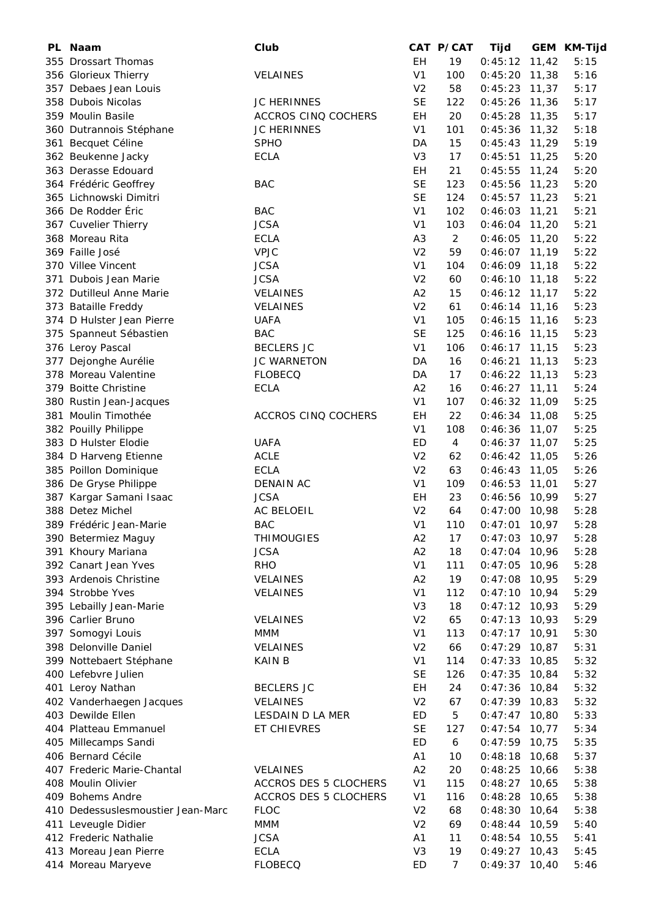| PL | Naam                              | Club                  |                | CAT P/CAT       | Tijd            |       | GEM KM-Tijd |
|----|-----------------------------------|-----------------------|----------------|-----------------|-----------------|-------|-------------|
|    | 355 Drossart Thomas               |                       | EH             | 19              | 0:45:12         | 11,42 | 5:15        |
|    | 356 Glorieux Thierry              | <b>VELAINES</b>       | V <sub>1</sub> | 100             | 0:45:20         | 11,38 | 5:16        |
|    | 357 Debaes Jean Louis             |                       | V <sub>2</sub> | 58              | 0:45:23         | 11,37 | 5:17        |
|    | 358 Dubois Nicolas                | <b>JC HERINNES</b>    | <b>SE</b>      | 122             | 0:45:26         | 11,36 | 5:17        |
|    | 359 Moulin Basile                 | ACCROS CINQ COCHERS   | EH             | 20              | 0:45:28         | 11,35 | 5:17        |
|    | 360 Dutrannois Stéphane           | <b>JC HERINNES</b>    | V <sub>1</sub> | 101             | 0:45:36         | 11,32 | 5:18        |
|    | 361 Becquet Céline                | <b>SPHO</b>           | DA             | 15              | 0:45:43         | 11,29 | 5:19        |
|    | 362 Beukenne Jacky                | <b>ECLA</b>           | V <sub>3</sub> | 17              | 0:45:51         | 11,25 | 5:20        |
|    | 363 Derasse Edouard               |                       | EH             | 21              | 0:45:55         | 11,24 | 5:20        |
|    | 364 Frédéric Geoffrey             | <b>BAC</b>            | <b>SE</b>      | 123             | 0:45:56         | 11,23 | 5:20        |
|    | 365 Lichnowski Dimitri            |                       | <b>SE</b>      | 124             | 0:45:57         | 11,23 | 5:21        |
|    | 366 De Rodder Éric                | <b>BAC</b>            | V <sub>1</sub> | 102             | 0:46:03         | 11,21 | 5:21        |
|    | 367 Cuvelier Thierry              | <b>JCSA</b>           | V <sub>1</sub> | 103             | 0:46:04         | 11,20 | 5:21        |
|    |                                   |                       |                |                 |                 |       |             |
|    | 368 Moreau Rita                   | <b>ECLA</b>           | A <sub>3</sub> | $\overline{2}$  | 0:46:05         | 11,20 | 5:22        |
|    | 369 Faille José                   | <b>VPJC</b>           | V <sub>2</sub> | 59              | 0:46:07         | 11,19 | 5:22        |
|    | 370 Villee Vincent                | <b>JCSA</b>           | V <sub>1</sub> | 104             | 0:46:09         | 11,18 | 5:22        |
|    | 371 Dubois Jean Marie             | <b>JCSA</b>           | V <sub>2</sub> | 60              | 0:46:10         | 11,18 | 5:22        |
|    | 372 Dutilleul Anne Marie          | <b>VELAINES</b>       | A2             | 15              | 0:46:12         | 11,17 | 5:22        |
|    | 373 Bataille Freddy               | <b>VELAINES</b>       | V <sub>2</sub> | 61              | 0:46:14         | 11,16 | 5:23        |
|    | 374 D Hulster Jean Pierre         | <b>UAFA</b>           | V <sub>1</sub> | 105             | 0:46:15         | 11,16 | 5:23        |
|    | 375 Spanneut Sébastien            | <b>BAC</b>            | <b>SE</b>      | 125             | 0:46:16         | 11,15 | 5:23        |
|    | 376 Leroy Pascal                  | <b>BECLERS JC</b>     | V <sub>1</sub> | 106             | 0:46:17         | 11,15 | 5:23        |
|    | 377 Dejonghe Aurélie              | <b>JC WARNETON</b>    | DA             | 16              | 0:46:21         | 11,13 | 5:23        |
|    | 378 Moreau Valentine              | <b>FLOBECQ</b>        | DA             | 17              | 0:46:22         | 11,13 | 5:23        |
|    | 379 Boitte Christine              | <b>ECLA</b>           | A2             | 16              | 0:46:27         | 11,11 | 5:24        |
|    | 380 Rustin Jean-Jacques           |                       | V <sub>1</sub> | 107             | 0:46:32         | 11,09 | 5:25        |
|    | 381 Moulin Timothée               | ACCROS CINQ COCHERS   | EH             | 22              | 0:46:34         | 11,08 | 5:25        |
|    | 382 Pouilly Philippe              |                       | V <sub>1</sub> | 108             | 0:46:36         | 11,07 | 5:25        |
|    | 383 D Hulster Elodie              | <b>UAFA</b>           | ED             | $\overline{4}$  | 0:46:37         | 11,07 | 5:25        |
|    | 384 D Harveng Etienne             | <b>ACLE</b>           | V <sub>2</sub> | 62              | 0:46:42         | 11,05 | 5:26        |
|    | 385 Poillon Dominique             | <b>ECLA</b>           | V <sub>2</sub> | 63              | 0:46:43         | 11,05 | 5:26        |
|    |                                   |                       | V <sub>1</sub> | 109             | 0:46:53         | 11,01 | 5:27        |
|    | 386 De Gryse Philippe             | DENAIN AC             |                |                 |                 |       |             |
|    | 387 Kargar Samani Isaac           | <b>JCSA</b>           | <b>EH</b>      | 23              | 0:46:56         | 10,99 | 5:27        |
|    | 388 Detez Michel                  | <b>AC BELOEIL</b>     | V <sub>2</sub> | 64              | 0:47:00         | 10,98 | 5:28        |
|    | 389 Frédéric Jean-Marie           | <b>BAC</b>            | V <sub>1</sub> | 110             | 0:47:01         | 10,97 | 5:28        |
|    | 390 Betermiez Maguy               | <b>THIMOUGIES</b>     | A2             | 17              | 0:47:03         | 10,97 | 5:28        |
|    | 391 Khoury Mariana                | <b>JCSA</b>           | A2             | 18              | 0:47:04         | 10,96 | 5:28        |
|    | 392 Canart Jean Yves              | <b>RHO</b>            | V <sub>1</sub> | 111             | 0:47:05         | 10,96 | 5:28        |
|    | 393 Ardenois Christine            | <b>VELAINES</b>       | A2             | 19              | 0:47:08         | 10,95 | 5:29        |
|    | 394 Strobbe Yves                  | <b>VELAINES</b>       | V <sub>1</sub> | 112             | 0:47:10         | 10,94 | 5:29        |
|    | 395 Lebailly Jean-Marie           |                       | V <sub>3</sub> | 18              | $0:47:12$ 10,93 |       | 5:29        |
|    | 396 Carlier Bruno                 | <b>VELAINES</b>       | V <sub>2</sub> | 65              | 0:47:13         | 10,93 | 5:29        |
|    | 397 Somogyi Louis                 | <b>MMM</b>            | V <sub>1</sub> | 113             | 0:47:17         | 10,91 | 5:30        |
|    | 398 Delonville Daniel             | VELAINES              | V <sub>2</sub> | 66              | 0:47:29         | 10,87 | 5:31        |
|    | 399 Nottebaert Stéphane           | KAIN B                | V <sub>1</sub> | 114             | 0:47:33         | 10,85 | 5:32        |
|    | 400 Lefebvre Julien               |                       | <b>SE</b>      | 126             | 0:47:35         | 10,84 | 5:32        |
|    | 401 Leroy Nathan                  | <b>BECLERS JC</b>     | ΕH             | 24              | 0:47:36         | 10,84 | 5:32        |
|    | 402 Vanderhaegen Jacques          | <b>VELAINES</b>       | V <sub>2</sub> | 67              | $0:47:39$ 10,83 |       | 5:32        |
|    | 403 Dewilde Ellen                 | LESDAIN D LA MER      | ED             | 5               | 0:47:47         | 10,80 | 5:33        |
|    | 404 Platteau Emmanuel             | ET CHIEVRES           | <b>SE</b>      | 127             | 0:47:54         | 10,77 | 5:34        |
|    | 405 Millecamps Sandi              |                       | ED             | 6               | $0:47:59$ 10,75 |       | 5:35        |
|    |                                   |                       |                |                 |                 |       |             |
|    | 406 Bernard Cécile                |                       | A <sub>1</sub> | 10              | 0:48:18         | 10,68 | 5:37        |
|    | 407 Frederic Marie-Chantal        | <b>VELAINES</b>       | A2             | 20              | 0:48:25         | 10,66 | 5:38        |
|    | 408 Moulin Olivier                | ACCROS DES 5 CLOCHERS | V <sub>1</sub> | 115             | 0:48:27         | 10,65 | 5:38        |
|    | 409 Bohems Andre                  | ACCROS DES 5 CLOCHERS | V <sub>1</sub> | 116             | 0:48:28         | 10,65 | 5:38        |
|    | 410 Dedessuslesmoustier Jean-Marc | <b>FLOC</b>           | V <sub>2</sub> | 68              | 0:48:30         | 10,64 | 5:38        |
|    | 411 Leveugle Didier               | <b>MMM</b>            | V <sub>2</sub> | 69              | 0:48:44         | 10,59 | 5:40        |
|    | 412 Frederic Nathalie             | <b>JCSA</b>           | A <sub>1</sub> | 11              | 0:48:54         | 10,55 | 5:41        |
|    | 413 Moreau Jean Pierre            | <b>ECLA</b>           | V <sub>3</sub> | 19              | 0:49:27         | 10,43 | 5:45        |
|    | 414 Moreau Maryeve                | <b>FLOBECQ</b>        | <b>ED</b>      | $7\overline{ }$ | $0:49:37$ 10,40 |       | 5:46        |